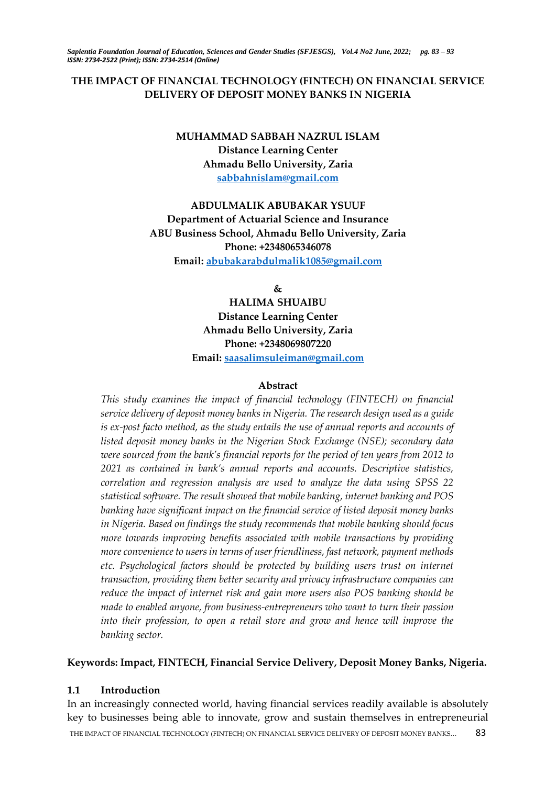# **THE IMPACT OF FINANCIAL TECHNOLOGY (FINTECH) ON FINANCIAL SERVICE DELIVERY OF DEPOSIT MONEY BANKS IN NIGERIA**

# **MUHAMMAD SABBAH NAZRUL ISLAM Distance Learning Center Ahmadu Bello University, Zaria [sabbahnislam@gmail.com](mailto:sabbahnislam@gmail.com)**

# **ABDULMALIK ABUBAKAR YSUUF Department of Actuarial Science and Insurance ABU Business School, Ahmadu Bello University, Zaria Phone: +2348065346078 Email: [abubakarabdulmalik1085@gmail.com](mailto:abubakarabdulmalik1085@gmail.com)**

**&**

**HALIMA SHUAIBU Distance Learning Center Ahmadu Bello University, Zaria Phone: +2348069807220**

**Email: [saasalimsuleiman@gmail.com](mailto:saasalimsuleiman@gmail.com)**

#### **Abstract**

*This study examines the impact of financial technology (FINTECH) on financial service delivery of deposit money banks in Nigeria. The research design used as a guide is ex-post facto method, as the study entails the use of annual reports and accounts of listed deposit money banks in the Nigerian Stock Exchange (NSE); secondary data were sourced from the bank's financial reports for the period of ten years from 2012 to 2021 as contained in bank's annual reports and accounts. Descriptive statistics, correlation and regression analysis are used to analyze the data using SPSS 22 statistical software. The result showed that mobile banking, internet banking and POS banking have significant impact on the financial service of listed deposit money banks in Nigeria. Based on findings the study recommends that mobile banking should focus more towards improving benefits associated with mobile transactions by providing more convenience to users in terms of user friendliness, fast network, payment methods etc. Psychological factors should be protected by building users trust on internet transaction, providing them better security and privacy infrastructure companies can reduce the impact of internet risk and gain more users also POS banking should be made to enabled anyone, from business-entrepreneurs who want to turn their passion into their profession, to open a retail store and grow and hence will improve the banking sector.*

## **Keywords: Impact, FINTECH, Financial Service Delivery, Deposit Money Banks, Nigeria.**

### **1.1 Introduction**

THE IMPACT OF FINANCIAL TECHNOLOGY (FINTECH) ON FINANCIAL SERVICE DELIVERY OF DEPOSIT MONEY BANKS… 83 In an increasingly connected world, having financial services readily available is absolutely key to businesses being able to innovate, grow and sustain themselves in entrepreneurial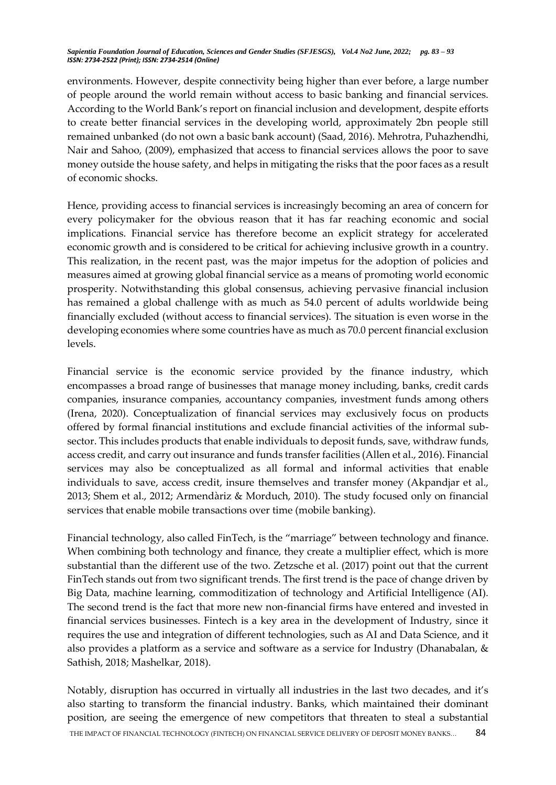environments. However, despite connectivity being higher than ever before, a large number of people around the world remain without access to basic banking and financial services. According to the World Bank's report on financial inclusion and development, despite efforts to create better financial services in the developing world, approximately 2bn people still remained unbanked (do not own a basic bank account) (Saad, 2016). Mehrotra, Puhazhendhi, Nair and Sahoo, (2009), emphasized that access to financial services allows the poor to save money outside the house safety, and helps in mitigating the risks that the poor faces as a result of economic shocks.

Hence, providing access to financial services is increasingly becoming an area of concern for every policymaker for the obvious reason that it has far reaching economic and social implications. Financial service has therefore become an explicit strategy for accelerated economic growth and is considered to be critical for achieving inclusive growth in a country. This realization, in the recent past, was the major impetus for the adoption of policies and measures aimed at growing global financial service as a means of promoting world economic prosperity. Notwithstanding this global consensus, achieving pervasive financial inclusion has remained a global challenge with as much as 54.0 percent of adults worldwide being financially excluded (without access to financial services). The situation is even worse in the developing economies where some countries have as much as 70.0 percent financial exclusion levels.

Financial service is the economic service provided by the finance industry, which encompasses a broad range of businesses that manage money including, banks, credit cards companies, insurance companies, accountancy companies, investment funds among others (Irena, 2020). Conceptualization of financial services may exclusively focus on products offered by formal financial institutions and exclude financial activities of the informal subsector. This includes products that enable individuals to deposit funds, save, withdraw funds, access credit, and carry out insurance and funds transfer facilities (Allen et al., 2016). Financial services may also be conceptualized as all formal and informal activities that enable individuals to save, access credit, insure themselves and transfer money (Akpandjar et al., 2013; Shem et al., 2012; Armendàriz & Morduch, 2010). The study focused only on financial services that enable mobile transactions over time (mobile banking).

Financial technology, also called FinTech, is the "marriage" between technology and finance. When combining both technology and finance, they create a multiplier effect, which is more substantial than the different use of the two. Zetzsche et al. (2017) point out that the current FinTech stands out from two significant trends. The first trend is the pace of change driven by Big Data, machine learning, commoditization of technology and Artificial Intelligence (AI). The second trend is the fact that more new non-financial firms have entered and invested in financial services businesses. Fintech is a key area in the development of Industry, since it requires the use and integration of different technologies, such as AI and Data Science, and it also provides a platform as a service and software as a service for Industry (Dhanabalan, & Sathish, 2018; Mashelkar, 2018).

THE IMPACT OF FINANCIAL TECHNOLOGY (FINTECH) ON FINANCIAL SERVICE DELIVERY OF DEPOSIT MONEY BANKS... 84 Notably, disruption has occurred in virtually all industries in the last two decades, and it's also starting to transform the financial industry. Banks, which maintained their dominant position, are seeing the emergence of new competitors that threaten to steal a substantial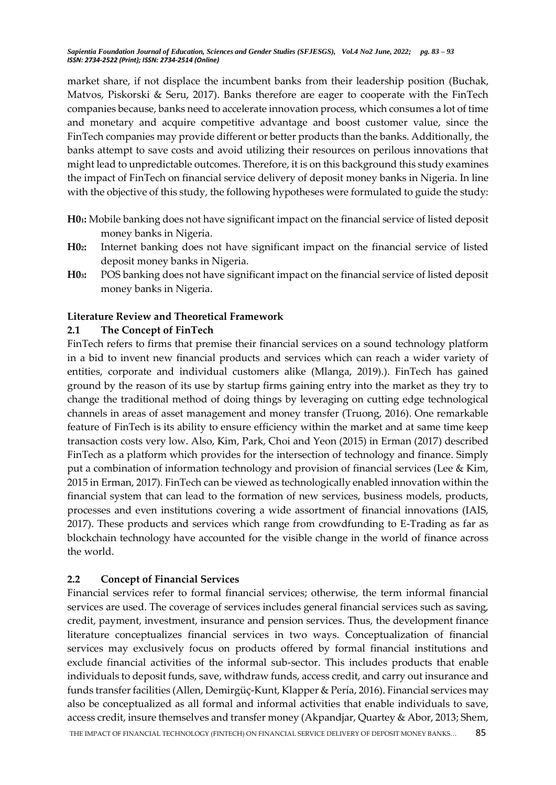market share, if not displace the incumbent banks from their leadership position (Buchak, Matvos, Piskorski & Seru, 2017). Banks therefore are eager to cooperate with the FinTech companies because, banks need to accelerate innovation process, which consumes a lot of time and monetary and acquire competitive advantage and boost customer value, since the FinTech companies may provide different or better products than the banks. Additionally, the banks attempt to save costs and avoid utilizing their resources on perilous innovations that might lead to unpredictable outcomes. Therefore, it is on this background this study examines the impact of FinTech on financial service delivery of deposit money banks in Nigeria. In line with the objective of this study, the following hypotheses were formulated to guide the study:

- **H01:** Mobile banking does not have significant impact on the financial service of listed deposit money banks in Nigeria.
- **H02:** Internet banking does not have significant impact on the financial service of listed deposit money banks in Nigeria.
- **H03:** POS banking does not have significant impact on the financial service of listed deposit money banks in Nigeria.

#### **Literature Review and Theoretical Framework**

#### **2.1 The Concept of FinTech**

FinTech refers to firms that premise their financial services on a sound technology platform in a bid to invent new financial products and services which can reach a wider variety of entities, corporate and individual customers alike (Mlanga, 2019).). FinTech has gained ground by the reason of its use by startup firms gaining entry into the market as they try to change the traditional method of doing things by leveraging on cutting edge technological channels in areas of asset management and money transfer (Truong, 2016). One remarkable feature of FinTech is its ability to ensure efficiency within the market and at same time keep transaction costs very low. Also, Kim, Park, Choi and Yeon (2015) in Erman (2017) described FinTech as a platform which provides for the intersection of technology and finance. Simply put a combination of information technology and provision of financial services (Lee & Kim, 2015 in Erman, 2017). FinTech can be viewed as technologically enabled innovation within the financial system that can lead to the formation of new services, business models, products, processes and even institutions covering a wide assortment of financial innovations (IAIS, 2017). These products and services which range from crowdfunding to E-Trading as far as blockchain technology have accounted for the visible change in the world of finance across the world.

### **2.2 Concept of Financial Services**

Financial services refer to formal financial services; otherwise, the term informal financial services are used. The coverage of services includes general financial services such as saving, credit, payment, investment, insurance and pension services. Thus, the development finance literature conceptualizes financial services in two ways. Conceptualization of financial services may exclusively focus on products offered by formal financial institutions and exclude financial activities of the informal sub-sector. This includes products that enable individuals to deposit funds, save, withdraw funds, access credit, and carry out insurance and funds transfer facilities (Allen, Demirgüç-Kunt, Klapper & Pería, 2016). Financial services may also be conceptualized as all formal and informal activities that enable individuals to save, access credit, insure themselves and transfer money (Akpandjar, Quartey & Abor, 2013; Shem,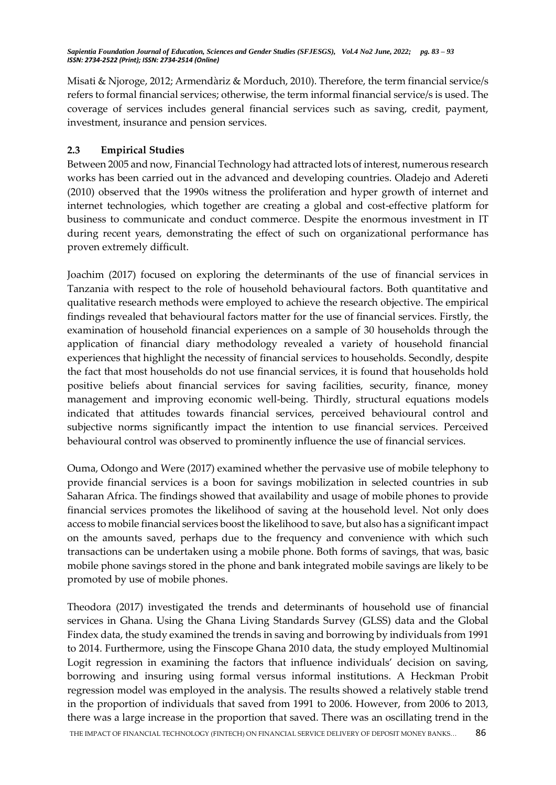Misati & Njoroge, 2012; Armendàriz & Morduch, 2010). Therefore, the term financial service/s refers to formal financial services; otherwise, the term informal financial service/s is used. The coverage of services includes general financial services such as saving, credit, payment, investment, insurance and pension services.

# **2.3 Empirical Studies**

Between 2005 and now, Financial Technology had attracted lots of interest, numerous research works has been carried out in the advanced and developing countries. Oladejo and Adereti (2010) observed that the 1990s witness the proliferation and hyper growth of internet and internet technologies, which together are creating a global and cost-effective platform for business to communicate and conduct commerce. Despite the enormous investment in IT during recent years, demonstrating the effect of such on organizational performance has proven extremely difficult.

Joachim (2017) focused on exploring the determinants of the use of financial services in Tanzania with respect to the role of household behavioural factors. Both quantitative and qualitative research methods were employed to achieve the research objective. The empirical findings revealed that behavioural factors matter for the use of financial services. Firstly, the examination of household financial experiences on a sample of 30 households through the application of financial diary methodology revealed a variety of household financial experiences that highlight the necessity of financial services to households. Secondly, despite the fact that most households do not use financial services, it is found that households hold positive beliefs about financial services for saving facilities, security, finance, money management and improving economic well-being. Thirdly, structural equations models indicated that attitudes towards financial services, perceived behavioural control and subjective norms significantly impact the intention to use financial services. Perceived behavioural control was observed to prominently influence the use of financial services.

Ouma, Odongo and Were (2017) examined whether the pervasive use of mobile telephony to provide financial services is a boon for savings mobilization in selected countries in sub Saharan Africa. The findings showed that availability and usage of mobile phones to provide financial services promotes the likelihood of saving at the household level. Not only does access to mobile financial services boost the likelihood to save, but also has a significant impact on the amounts saved, perhaps due to the frequency and convenience with which such transactions can be undertaken using a mobile phone. Both forms of savings, that was, basic mobile phone savings stored in the phone and bank integrated mobile savings are likely to be promoted by use of mobile phones.

THE IMPACT OF FINANCIAL TECHNOLOGY (FINTECH) ON FINANCIAL SERVICE DELIVERY OF DEPOSIT MONEY BANKS... 86 Theodora (2017) investigated the trends and determinants of household use of financial services in Ghana. Using the Ghana Living Standards Survey (GLSS) data and the Global Findex data, the study examined the trends in saving and borrowing by individuals from 1991 to 2014. Furthermore, using the Finscope Ghana 2010 data, the study employed Multinomial Logit regression in examining the factors that influence individuals' decision on saving, borrowing and insuring using formal versus informal institutions. A Heckman Probit regression model was employed in the analysis. The results showed a relatively stable trend in the proportion of individuals that saved from 1991 to 2006. However, from 2006 to 2013, there was a large increase in the proportion that saved. There was an oscillating trend in the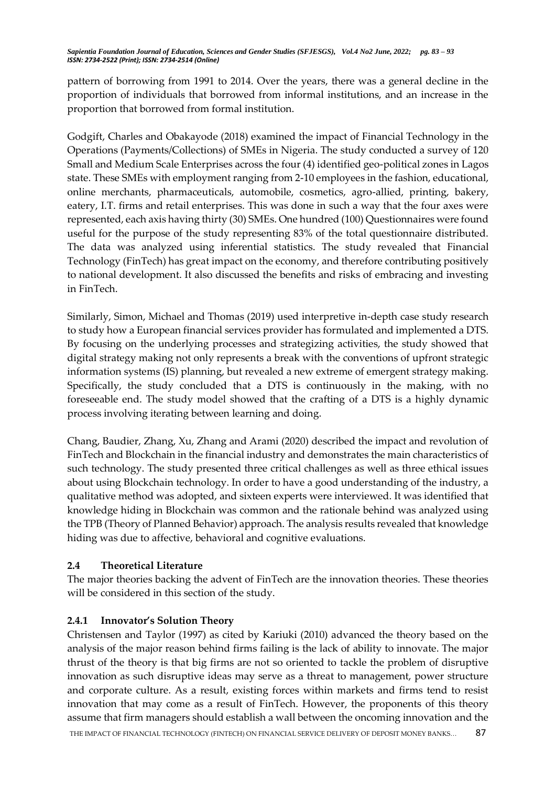pattern of borrowing from 1991 to 2014. Over the years, there was a general decline in the proportion of individuals that borrowed from informal institutions, and an increase in the proportion that borrowed from formal institution.

Godgift, Charles and Obakayode (2018) examined the impact of Financial Technology in the Operations (Payments/Collections) of SMEs in Nigeria. The study conducted a survey of 120 Small and Medium Scale Enterprises across the four (4) identified geo-political zones in Lagos state. These SMEs with employment ranging from 2-10 employees in the fashion, educational, online merchants, pharmaceuticals, automobile, cosmetics, agro-allied, printing, bakery, eatery, I.T. firms and retail enterprises. This was done in such a way that the four axes were represented, each axis having thirty (30) SMEs. One hundred (100) Questionnaires were found useful for the purpose of the study representing 83% of the total questionnaire distributed. The data was analyzed using inferential statistics. The study revealed that Financial Technology (FinTech) has great impact on the economy, and therefore contributing positively to national development. It also discussed the benefits and risks of embracing and investing in FinTech.

Similarly, Simon, Michael and Thomas (2019) used interpretive in-depth case study research to study how a European financial services provider has formulated and implemented a DTS. By focusing on the underlying processes and strategizing activities, the study showed that digital strategy making not only represents a break with the conventions of upfront strategic information systems (IS) planning, but revealed a new extreme of emergent strategy making. Specifically, the study concluded that a DTS is continuously in the making, with no foreseeable end. The study model showed that the crafting of a DTS is a highly dynamic process involving iterating between learning and doing.

Chang, Baudier, Zhang, Xu, Zhang and Arami (2020) described the impact and revolution of FinTech and Blockchain in the financial industry and demonstrates the main characteristics of such technology. The study presented three critical challenges as well as three ethical issues about using Blockchain technology. In order to have a good understanding of the industry, a qualitative method was adopted, and sixteen experts were interviewed. It was identified that knowledge hiding in Blockchain was common and the rationale behind was analyzed using the TPB (Theory of Planned Behavior) approach. The analysis results revealed that knowledge hiding was due to affective, behavioral and cognitive evaluations.

### **2.4 Theoretical Literature**

The major theories backing the advent of FinTech are the innovation theories. These theories will be considered in this section of the study.

### **2.4.1 Innovator's Solution Theory**

THE IMPACT OF FINANCIAL TECHNOLOGY (FINTECH) ON FINANCIAL SERVICE DELIVERY OF DEPOSIT MONEY BANKS... 87 Christensen and Taylor (1997) as cited by Kariuki (2010) advanced the theory based on the analysis of the major reason behind firms failing is the lack of ability to innovate. The major thrust of the theory is that big firms are not so oriented to tackle the problem of disruptive innovation as such disruptive ideas may serve as a threat to management, power structure and corporate culture. As a result, existing forces within markets and firms tend to resist innovation that may come as a result of FinTech. However, the proponents of this theory assume that firm managers should establish a wall between the oncoming innovation and the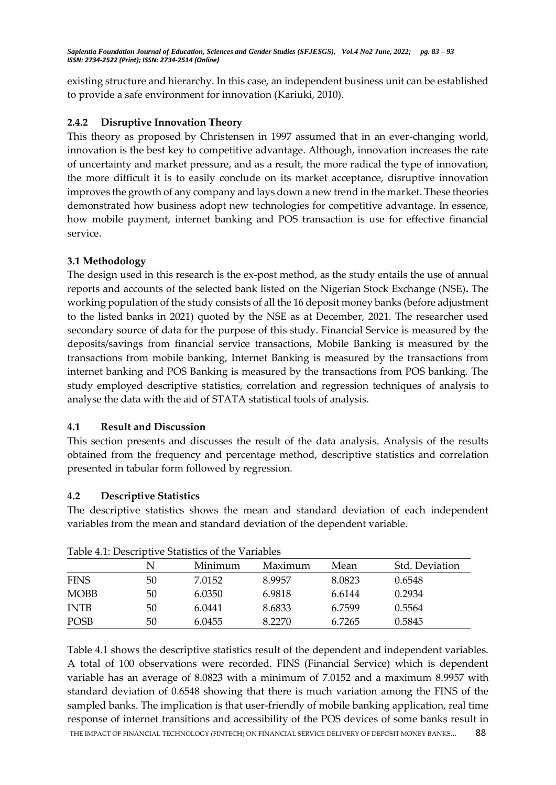existing structure and hierarchy. In this case, an independent business unit can be established to provide a safe environment for innovation (Kariuki, 2010).

## **2.4.2 Disruptive Innovation Theory**

This theory as proposed by Christensen in 1997 assumed that in an ever-changing world, innovation is the best key to competitive advantage. Although, innovation increases the rate of uncertainty and market pressure, and as a result, the more radical the type of innovation, the more difficult it is to easily conclude on its market acceptance, disruptive innovation improves the growth of any company and lays down a new trend in the market. These theories demonstrated how business adopt new technologies for competitive advantage. In essence, how mobile payment, internet banking and POS transaction is use for effective financial service.

### **3.1 Methodology**

The design used in this research is the ex-post method, as the study entails the use of annual reports and accounts of the selected bank listed on the Nigerian Stock Exchange (NSE)**.** The working population of the study consists of all the 16 deposit money banks (before adjustment to the listed banks in 2021) quoted by the NSE as at December, 2021. The researcher used secondary source of data for the purpose of this study. Financial Service is measured by the deposits/savings from financial service transactions, Mobile Banking is measured by the transactions from mobile banking, Internet Banking is measured by the transactions from internet banking and POS Banking is measured by the transactions from POS banking. The study employed descriptive statistics, correlation and regression techniques of analysis to analyse the data with the aid of STATA statistical tools of analysis.

### **4.1 Result and Discussion**

This section presents and discusses the result of the data analysis. Analysis of the results obtained from the frequency and percentage method, descriptive statistics and correlation presented in tabular form followed by regression.

# **4.2 Descriptive Statistics**

The descriptive statistics shows the mean and standard deviation of each independent variables from the mean and standard deviation of the dependent variable.

| TUDIC III PUULIDU TUULUUDUU VI UR TULIUDUU |    |         |         |        |                |
|--------------------------------------------|----|---------|---------|--------|----------------|
|                                            | N  | Minimum | Maximum | Mean   | Std. Deviation |
| <b>FINS</b>                                | 50 | 7.0152  | 8.9957  | 8.0823 | 0.6548         |
| <b>MOBB</b>                                | 50 | 6.0350  | 6.9818  | 6.6144 | 0.2934         |
| <b>INTB</b>                                | 50 | 6.0441  | 8.6833  | 6.7599 | 0.5564         |
| <b>POSB</b>                                | 50 | 6.0455  | 8.2270  | 6.7265 | 0.5845         |

Table 4.1: Descriptive Statistics of the Variables

THE IMPACT OF FINANCIAL TECHNOLOGY (FINTECH) ON FINANCIAL SERVICE DELIVERY OF DEPOSIT MONEY BANKS... 88 Table 4.1 shows the descriptive statistics result of the dependent and independent variables. A total of 100 observations were recorded. FINS (Financial Service) which is dependent variable has an average of 8.0823 with a minimum of 7.0152 and a maximum 8.9957 with standard deviation of 0.6548 showing that there is much variation among the FINS of the sampled banks. The implication is that user-friendly of mobile banking application, real time response of internet transitions and accessibility of the POS devices of some banks result in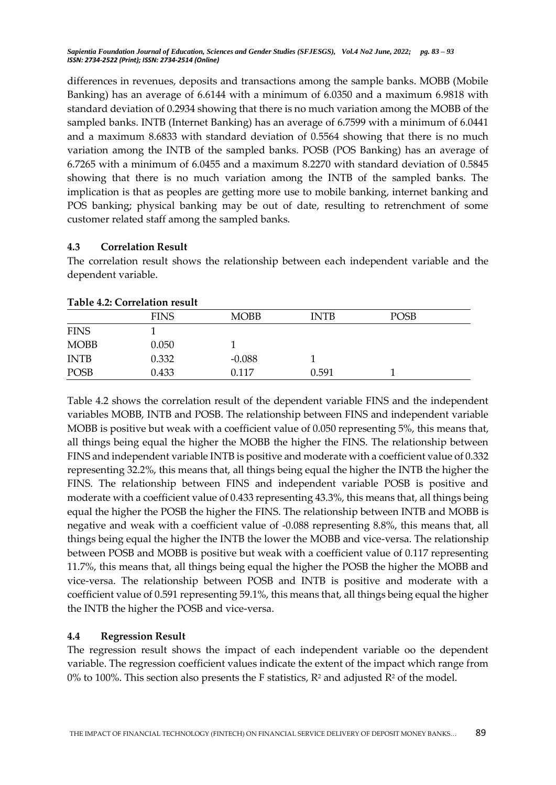differences in revenues, deposits and transactions among the sample banks. MOBB (Mobile Banking) has an average of 6.6144 with a minimum of 6.0350 and a maximum 6.9818 with standard deviation of 0.2934 showing that there is no much variation among the MOBB of the sampled banks. INTB (Internet Banking) has an average of 6.7599 with a minimum of 6.0441 and a maximum 8.6833 with standard deviation of 0.5564 showing that there is no much variation among the INTB of the sampled banks. POSB (POS Banking) has an average of 6.7265 with a minimum of 6.0455 and a maximum 8.2270 with standard deviation of 0.5845 showing that there is no much variation among the INTB of the sampled banks. The implication is that as peoples are getting more use to mobile banking, internet banking and POS banking; physical banking may be out of date, resulting to retrenchment of some customer related staff among the sampled banks.

### **4.3 Correlation Result**

The correlation result shows the relationship between each independent variable and the dependent variable.

|             | <b>FINS</b> | <b>MOBB</b> | <b>INTB</b> | <b>POSB</b> |  |
|-------------|-------------|-------------|-------------|-------------|--|
| <b>FINS</b> |             |             |             |             |  |
| <b>MOBB</b> | 0.050       |             |             |             |  |
| <b>INTB</b> | 0.332       | $-0.088$    |             |             |  |
| <b>POSB</b> | 0.433       | 0.117       | 0.591       |             |  |

## **Table 4.2: Correlation result**

Table 4.2 shows the correlation result of the dependent variable FINS and the independent variables MOBB, INTB and POSB. The relationship between FINS and independent variable MOBB is positive but weak with a coefficient value of 0.050 representing 5%, this means that, all things being equal the higher the MOBB the higher the FINS. The relationship between FINS and independent variable INTB is positive and moderate with a coefficient value of 0.332 representing 32.2%, this means that, all things being equal the higher the INTB the higher the FINS. The relationship between FINS and independent variable POSB is positive and moderate with a coefficient value of 0.433 representing 43.3%, this means that, all things being equal the higher the POSB the higher the FINS. The relationship between INTB and MOBB is negative and weak with a coefficient value of -0.088 representing 8.8%, this means that, all things being equal the higher the INTB the lower the MOBB and vice-versa. The relationship between POSB and MOBB is positive but weak with a coefficient value of 0.117 representing 11.7%, this means that, all things being equal the higher the POSB the higher the MOBB and vice-versa. The relationship between POSB and INTB is positive and moderate with a coefficient value of 0.591 representing 59.1%, this means that, all things being equal the higher the INTB the higher the POSB and vice-versa.

# **4.4 Regression Result**

The regression result shows the impact of each independent variable oo the dependent variable. The regression coefficient values indicate the extent of the impact which range from 0% to 100%. This section also presents the F statistics,  $R^2$  and adjusted  $R^2$  of the model.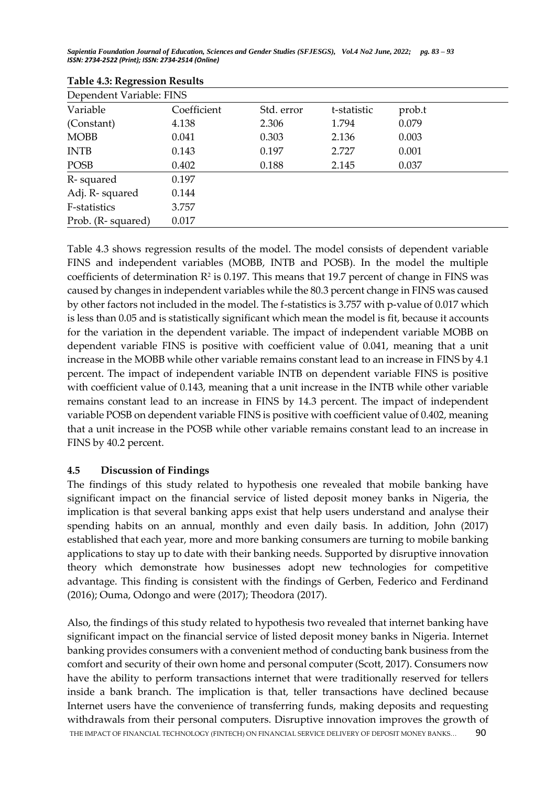| Table 4.9. Regression Results |             |            |             |        |  |
|-------------------------------|-------------|------------|-------------|--------|--|
| Dependent Variable: FINS      |             |            |             |        |  |
| Variable                      | Coefficient | Std. error | t-statistic | prob.t |  |
| (Constant)                    | 4.138       | 2.306      | 1.794       | 0.079  |  |
| <b>MOBB</b>                   | 0.041       | 0.303      | 2.136       | 0.003  |  |
| <b>INTB</b>                   | 0.143       | 0.197      | 2.727       | 0.001  |  |
| <b>POSB</b>                   | 0.402       | 0.188      | 2.145       | 0.037  |  |
| R-squared                     | 0.197       |            |             |        |  |
| Adj. R-squared                | 0.144       |            |             |        |  |
| F-statistics                  | 3.757       |            |             |        |  |
| Prob. (R-squared)             | 0.017       |            |             |        |  |

| <b>Table 4.3: Regression Results</b> |  |
|--------------------------------------|--|
|--------------------------------------|--|

Table 4.3 shows regression results of the model. The model consists of dependent variable FINS and independent variables (MOBB, INTB and POSB). In the model the multiple coefficients of determination  $\mathbb{R}^2$  is 0.197. This means that 19.7 percent of change in FINS was caused by changes in independent variables while the 80.3 percent change in FINS was caused by other factors not included in the model. The f-statistics is 3.757 with p-value of 0.017 which is less than 0.05 and is statistically significant which mean the model is fit, because it accounts for the variation in the dependent variable. The impact of independent variable MOBB on dependent variable FINS is positive with coefficient value of 0.041, meaning that a unit increase in the MOBB while other variable remains constant lead to an increase in FINS by 4.1 percent. The impact of independent variable INTB on dependent variable FINS is positive with coefficient value of 0.143, meaning that a unit increase in the INTB while other variable remains constant lead to an increase in FINS by 14.3 percent. The impact of independent variable POSB on dependent variable FINS is positive with coefficient value of 0.402, meaning that a unit increase in the POSB while other variable remains constant lead to an increase in FINS by 40.2 percent.

# **4.5 Discussion of Findings**

The findings of this study related to hypothesis one revealed that mobile banking have significant impact on the financial service of listed deposit money banks in Nigeria, the implication is that several banking apps exist that help users understand and analyse their spending habits on an annual, monthly and even daily basis. In addition, John (2017) established that each year, more and more banking consumers are turning to mobile banking applications to stay up to date with their banking needs. Supported by disruptive innovation theory which demonstrate how businesses adopt new technologies for competitive advantage. This finding is consistent with the findings of Gerben, Federico and Ferdinand (2016); Ouma, Odongo and were (2017); Theodora (2017).

THE IMPACT OF FINANCIAL TECHNOLOGY (FINTECH) ON FINANCIAL SERVICE DELIVERY OF DEPOSIT MONEY BANKS... 90 Also, the findings of this study related to hypothesis two revealed that internet banking have significant impact on the financial service of listed deposit money banks in Nigeria. Internet banking provides consumers with a convenient method of conducting bank business from the comfort and security of their own home and personal computer (Scott, 2017). Consumers now have the ability to perform transactions internet that were traditionally reserved for tellers inside a bank branch. The implication is that, teller transactions have declined because Internet users have the convenience of transferring funds, making deposits and requesting withdrawals from their personal computers. Disruptive innovation improves the growth of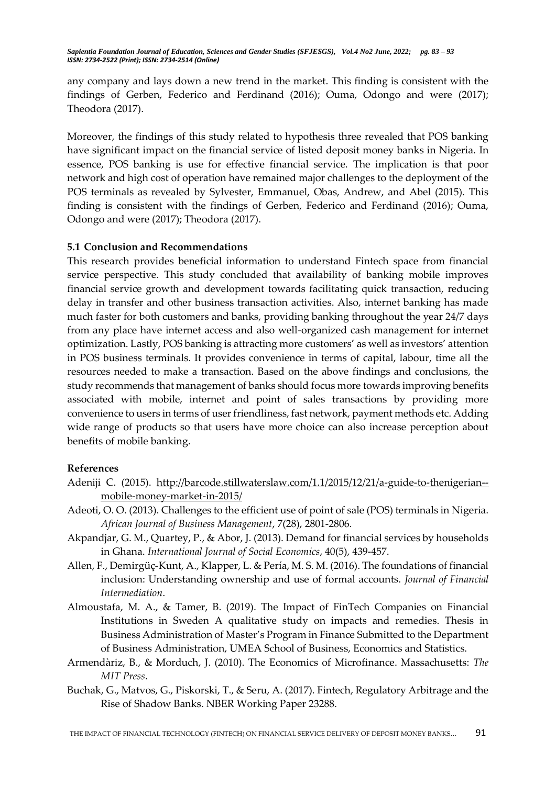any company and lays down a new trend in the market. This finding is consistent with the findings of Gerben, Federico and Ferdinand (2016); Ouma, Odongo and were (2017); Theodora (2017).

Moreover, the findings of this study related to hypothesis three revealed that POS banking have significant impact on the financial service of listed deposit money banks in Nigeria. In essence, POS banking is use for effective financial service. The implication is that poor network and high cost of operation have remained major challenges to the deployment of the POS terminals as revealed by Sylvester, Emmanuel, Obas, Andrew, and Abel (2015). This finding is consistent with the findings of Gerben, Federico and Ferdinand (2016); Ouma, Odongo and were (2017); Theodora (2017).

## **5.1 Conclusion and Recommendations**

This research provides beneficial information to understand Fintech space from financial service perspective. This study concluded that availability of banking mobile improves financial service growth and development towards facilitating quick transaction, reducing delay in transfer and other business transaction activities. Also, internet banking has made much faster for both customers and banks, providing banking throughout the year 24/7 days from any place have internet access and also well-organized cash management for internet optimization. Lastly, POS banking is attracting more customers' as well as investors' attention in POS business terminals. It provides convenience in terms of capital, labour, time all the resources needed to make a transaction. Based on the above findings and conclusions, the study recommends that management of banks should focus more towards improving benefits associated with mobile, internet and point of sales transactions by providing more convenience to users in terms of user friendliness, fast network, payment methods etc. Adding wide range of products so that users have more choice can also increase perception about benefits of mobile banking.

### **References**

- Adeniji C. (2015). [http://barcode.stillwaterslaw.com/1.1/2015/12/21/a-guide-to-thenigerian-](http://barcode.stillwaterslaw.com/1.1/2015/12/21/a-guide-to-thenigerian--mobile-money-market-in-2015/) [mobile-money-market-in-2015/](http://barcode.stillwaterslaw.com/1.1/2015/12/21/a-guide-to-thenigerian--mobile-money-market-in-2015/)
- Adeoti, O. O. (2013). Challenges to the efficient use of point of sale (POS) terminals in Nigeria. *African Journal of Business Management*, 7(28), 2801-2806.
- Akpandjar, G. M., Quartey, P., & Abor, J. (2013). Demand for financial services by households in Ghana. *International Journal of Social Economics*, 40(5), 439-457.
- Allen, F., Demirgüç-Kunt, A., Klapper, L. & Pería, M. S. M. (2016). The foundations of financial inclusion: Understanding ownership and use of formal accounts. *Journal of Financial Intermediation*.
- Almoustafa, M. A., & Tamer, B. (2019). The Impact of FinTech Companies on Financial Institutions in Sweden A qualitative study on impacts and remedies. Thesis in Business Administration of Master's Program in Finance Submitted to the Department of Business Administration, UMEA School of Business, Economics and Statistics.
- Armendàriz, B., & Morduch, J. (2010). The Economics of Microfinance. Massachusetts: *The MIT Press*.
- Buchak, G., Matvos, G., Piskorski, T., & Seru, A. (2017). Fintech, Regulatory Arbitrage and the Rise of Shadow Banks. NBER Working Paper 23288.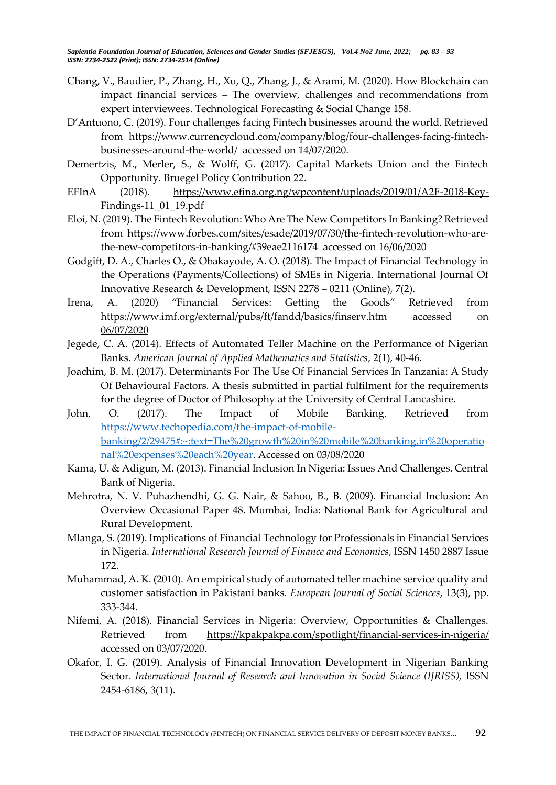- Chang, V., Baudier, P., Zhang, H., Xu, Q., Zhang, J., & Arami, M. (2020). How Blockchain can impact financial services – The overview, challenges and recommendations from expert interviewees. Technological Forecasting & Social Change 158.
- D'Antuono, C. (2019). Four challenges facing Fintech businesses around the world. Retrieved from [https://www.currencycloud.com/company/blog/four-challenges-facing-fintech](https://www.currencycloud.com/company/blog/four-challenges-facing-fintech-businesses-around-the-world/)[businesses-around-the-world/](https://www.currencycloud.com/company/blog/four-challenges-facing-fintech-businesses-around-the-world/) accessed on 14/07/2020.
- Demertzis, M., Merler, S., & Wolff, G. (2017). Capital Markets Union and the Fintech Opportunity. Bruegel Policy Contribution 22.
- EFInA (2018). [https://www.efina.org.ng/wpcontent/uploads/2019/01/A2F-2018-Key-](https://www.efina.org.ng/wpcontent/uploads/2019/01/A2F-2018-Key-Findings-11_01_19.pdf)[Findings-11\\_01\\_19.pdf](https://www.efina.org.ng/wpcontent/uploads/2019/01/A2F-2018-Key-Findings-11_01_19.pdf)
- Eloi, N. (2019). The Fintech Revolution: Who Are The New Competitors In Banking? Retrieved from [https://www.forbes.com/sites/esade/2019/07/30/the-fintech-revolution-who-are](https://www.forbes.com/sites/esade/2019/07/30/the-fintech-revolution-who-are-the-new-competitors-in-banking/#39eae2116174)[the-new-competitors-in-banking/#39eae2116174](https://www.forbes.com/sites/esade/2019/07/30/the-fintech-revolution-who-are-the-new-competitors-in-banking/#39eae2116174) accessed on 16/06/2020
- Godgift, D. A., Charles O., & Obakayode, A. O. (2018). The Impact of Financial Technology in the Operations (Payments/Collections) of SMEs in Nigeria. International Journal Of Innovative Research & Development, ISSN 2278 – 0211 (Online), 7(2).
- Irena, A. (2020) "Financial Services: Getting the Goods" Retrieved from [https://www.imf.org/external/pubs/ft/fandd/basics/finserv.htm accessed on](https://www.imf.org/external/pubs/ft/fandd/basics/finserv.htm%20accessed%20on%2006/07/2020)  [06/07/2020](https://www.imf.org/external/pubs/ft/fandd/basics/finserv.htm%20accessed%20on%2006/07/2020)
- Jegede, C. A. (2014). Effects of Automated Teller Machine on the Performance of Nigerian Banks. *American Journal of Applied Mathematics and Statistics*, 2(1), 40-46.
- Joachim, B. M. (2017). Determinants For The Use Of Financial Services In Tanzania: A Study Of Behavioural Factors. A thesis submitted in partial fulfilment for the requirements for the degree of Doctor of Philosophy at the University of Central Lancashire.
- John, O. (2017). The Impact of Mobile Banking. Retrieved from [https://www.techopedia.com/the-impact-of-mobile](https://www.techopedia.com/the-impact-of-mobile-banking/2/29475#:~:text=The%20growth%20in%20mobile%20banking,in%20operational%20expenses%20each%20year)[banking/2/29475#:~:text=The%20growth%20in%20mobile%20banking,in%20operatio](https://www.techopedia.com/the-impact-of-mobile-banking/2/29475#:~:text=The%20growth%20in%20mobile%20banking,in%20operational%20expenses%20each%20year) [nal%20expenses%20each%20year.](https://www.techopedia.com/the-impact-of-mobile-banking/2/29475#:~:text=The%20growth%20in%20mobile%20banking,in%20operational%20expenses%20each%20year) Accessed on 03/08/2020
- Kama, U. & Adigun, M. (2013). Financial Inclusion In Nigeria: Issues And Challenges. Central Bank of Nigeria.
- Mehrotra, N. V. Puhazhendhi, G. G. Nair, & Sahoo, B., B. (2009). Financial Inclusion: An Overview Occasional Paper 48. Mumbai, India: National Bank for Agricultural and Rural Development.
- Mlanga, S. (2019). Implications of Financial Technology for Professionals in Financial Services in Nigeria. *International Research Journal of Finance and Economics*, ISSN 1450 2887 Issue 172.
- Muhammad, A. K. (2010). An empirical study of automated teller machine service quality and customer satisfaction in Pakistani banks. *European Journal of Social Sciences*, 13(3), pp. 333-344.
- Nifemi, A. (2018). Financial Services in Nigeria: Overview, Opportunities & Challenges. Retrieved from <https://kpakpakpa.com/spotlight/financial-services-in-nigeria/> accessed on 03/07/2020.
- Okafor, I. G. (2019). Analysis of Financial Innovation Development in Nigerian Banking Sector. *International Journal of Research and Innovation in Social Science (IJRISS),* ISSN 2454-6186, 3(11).